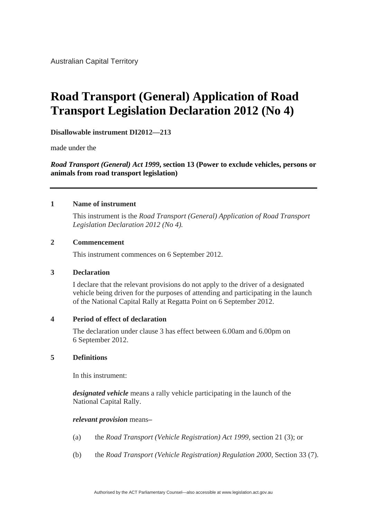# **Road Transport (General) Application of Road Transport Legislation Declaration 2012 (No 4)**

**Disallowable instrument DI2012—213**

made under the

*Road Transport (General) Act 1999***, section 13 (Power to exclude vehicles, persons or animals from road transport legislation)**

#### **1 Name of instrument**

 This instrument is the *Road Transport (General) Application of Road Transport Legislation Declaration 2012 (No 4).*

### **2 Commencement**

This instrument commences on 6 September 2012.

### **3 Declaration**

I declare that the relevant provisions do not apply to the driver of a designated vehicle being driven for the purposes of attending and participating in the launch of the National Capital Rally at Regatta Point on 6 September 2012.

### **4 Period of effect of declaration**

The declaration under clause 3 has effect between 6.00am and 6.00pm on 6 September 2012.

### **5 Definitions**

In this instrument:

*designated vehicle* means a rally vehicle participating in the launch of the National Capital Rally.

### *relevant provision* means**–**

- (a) the *Road Transport (Vehicle Registration) Act 1999,* section 21 (3); or
- (b) the *Road Transport (Vehicle Registration) Regulation 2000,* Section 33 (7).